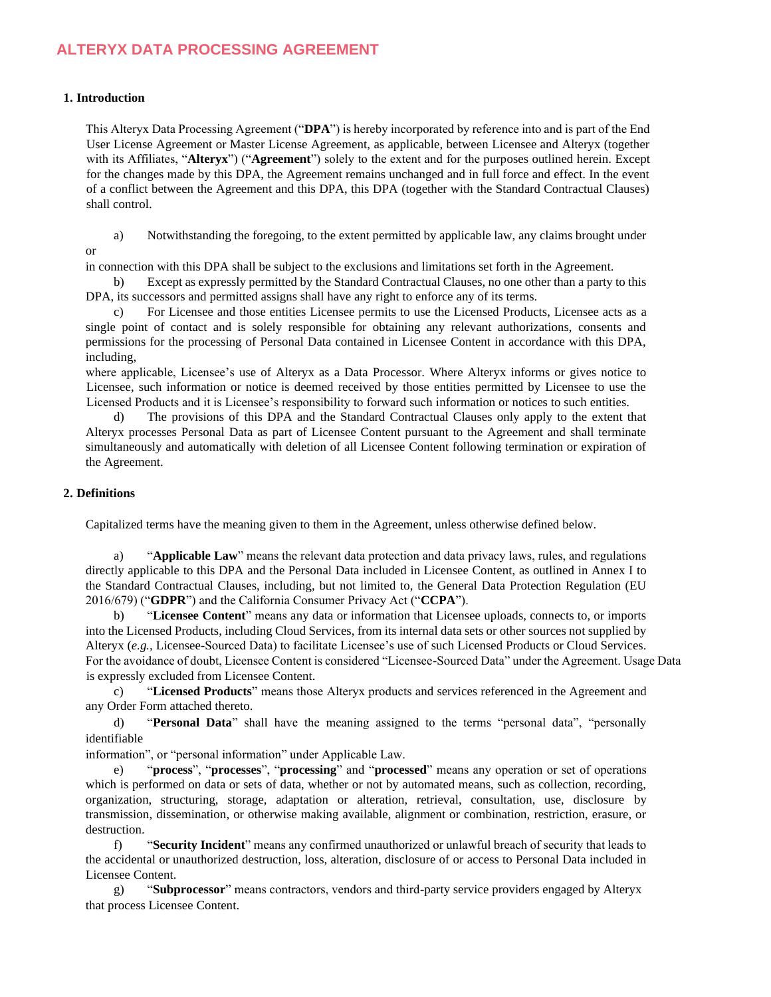# **ALTERYX DATA PROCESSING AGREEMENT**

### **1. Introduction**

or

This Alteryx Data Processing Agreement ("**DPA**") is hereby incorporated by reference into and is part of the End User License Agreement or Master License Agreement, as applicable, between Licensee and Alteryx (together with its Affiliates, "**Alteryx**") ("**Agreement**") solely to the extent and for the purposes outlined herein. Except for the changes made by this DPA, the Agreement remains unchanged and in full force and effect. In the event of a conflict between the Agreement and this DPA, this DPA (together with the Standard Contractual Clauses) shall control.

a) Notwithstanding the foregoing, to the extent permitted by applicable law, any claims brought under

in connection with this DPA shall be subject to the exclusions and limitations set forth in the Agreement.

b) Except as expressly permitted by the Standard Contractual Clauses, no one other than a party to this DPA, its successors and permitted assigns shall have any right to enforce any of its terms.

c) For Licensee and those entities Licensee permits to use the Licensed Products, Licensee acts as a single point of contact and is solely responsible for obtaining any relevant authorizations, consents and permissions for the processing of Personal Data contained in Licensee Content in accordance with this DPA, including,

where applicable, Licensee's use of Alteryx as a Data Processor. Where Alteryx informs or gives notice to Licensee, such information or notice is deemed received by those entities permitted by Licensee to use the Licensed Products and it is Licensee's responsibility to forward such information or notices to such entities.

The provisions of this DPA and the Standard Contractual Clauses only apply to the extent that Alteryx processes Personal Data as part of Licensee Content pursuant to the Agreement and shall terminate simultaneously and automatically with deletion of all Licensee Content following termination or expiration of the Agreement.

### **2. Definitions**

Capitalized terms have the meaning given to them in the Agreement, unless otherwise defined below.

a) "**Applicable Law**" means the relevant data protection and data privacy laws, rules, and regulations directly applicable to this DPA and the Personal Data included in Licensee Content, as outlined in Annex I to the Standard Contractual Clauses, including, but not limited to, the General Data Protection Regulation (EU 2016/679) ("**GDPR**") and the California Consumer Privacy Act ("**CCPA**").

b) "**Licensee Content**" means any data or information that Licensee uploads, connects to, or imports into the Licensed Products, including Cloud Services, from its internal data sets or other sources not supplied by Alteryx (*e.g.,* Licensee-Sourced Data) to facilitate Licensee's use of such Licensed Products or Cloud Services. For the avoidance of doubt, Licensee Content is considered "Licensee-Sourced Data" under the Agreement. Usage Data is expressly excluded from Licensee Content.

c) "**Licensed Products**" means those Alteryx products and services referenced in the Agreement and any Order Form attached thereto.

d) "**Personal Data**" shall have the meaning assigned to the terms "personal data", "personally identifiable

information", or "personal information" under Applicable Law.

e) "**process**", "**processes**", "**processing**" and "**processed**" means any operation or set of operations which is performed on data or sets of data, whether or not by automated means, such as collection, recording, organization, structuring, storage, adaptation or alteration, retrieval, consultation, use, disclosure by transmission, dissemination, or otherwise making available, alignment or combination, restriction, erasure, or destruction.

f) "**Security Incident**" means any confirmed unauthorized or unlawful breach of security that leads to the accidental or unauthorized destruction, loss, alteration, disclosure of or access to Personal Data included in Licensee Content.

g) "**Subprocessor**" means contractors, vendors and third-party service providers engaged by Alteryx that process Licensee Content.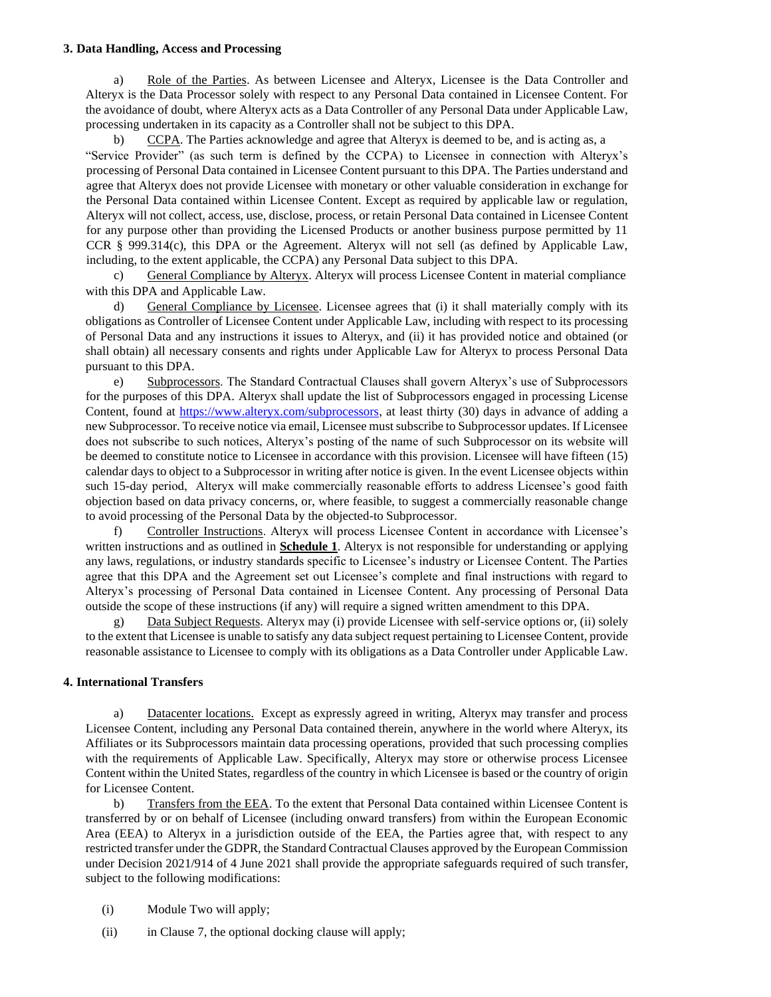#### **3. Data Handling, Access and Processing**

a) Role of the Parties. As between Licensee and Alteryx, Licensee is the Data Controller and Alteryx is the Data Processor solely with respect to any Personal Data contained in Licensee Content. For the avoidance of doubt, where Alteryx acts as a Data Controller of any Personal Data under Applicable Law, processing undertaken in its capacity as a Controller shall not be subject to this DPA.

b) CCPA. The Parties acknowledge and agree that Alteryx is deemed to be, and is acting as, a "Service Provider" (as such term is defined by the CCPA) to Licensee in connection with Alteryx's processing of Personal Data contained in Licensee Content pursuant to this DPA. The Parties understand and agree that Alteryx does not provide Licensee with monetary or other valuable consideration in exchange for the Personal Data contained within Licensee Content. Except as required by applicable law or regulation, Alteryx will not collect, access, use, disclose, process, or retain Personal Data contained in Licensee Content for any purpose other than providing the Licensed Products or another business purpose permitted by 11 CCR § 999.314(c), this DPA or the Agreement. Alteryx will not sell (as defined by Applicable Law, including, to the extent applicable, the CCPA) any Personal Data subject to this DPA.

c) General Compliance by Alteryx. Alteryx will process Licensee Content in material compliance with this DPA and Applicable Law.

d) General Compliance by Licensee. Licensee agrees that (i) it shall materially comply with its obligations as Controller of Licensee Content under Applicable Law, including with respect to its processing of Personal Data and any instructions it issues to Alteryx, and (ii) it has provided notice and obtained (or shall obtain) all necessary consents and rights under Applicable Law for Alteryx to process Personal Data pursuant to this DPA.

e) Subprocessors. The Standard Contractual Clauses shall govern Alteryx's use of Subprocessors for the purposes of this DPA. Alteryx shall update the list of Subprocessors engaged in processing License Content, found a[t](https://www.alteryx.com/subprocessors) [https://www.alteryx.com/subprocessors,](https://www.alteryx.com/subprocessors) at least thirty (30) days in advance of adding a new Subprocessor. To receive notice via email, Licensee must subscribe to Subprocessor updates. If Licensee does not subscribe to such notices, Alteryx's posting of the name of such Subprocessor on its website will be deemed to constitute notice to Licensee in accordance with this provision. Licensee will have fifteen (15) calendar days to object to a Subprocessor in writing after notice is given. In the event Licensee objects within such 15-day period, Alteryx will make commercially reasonable efforts to address Licensee's good faith objection based on data privacy concerns, or, where feasible, to suggest a commercially reasonable change to avoid processing of the Personal Data by the objected-to Subprocessor.

f) Controller Instructions. Alteryx will process Licensee Content in accordance with Licensee's written instructions and as outlined in **Schedule 1**. Alteryx is not responsible for understanding or applying any laws, regulations, or industry standards specific to Licensee's industry or Licensee Content. The Parties agree that this DPA and the Agreement set out Licensee's complete and final instructions with regard to Alteryx's processing of Personal Data contained in Licensee Content. Any processing of Personal Data outside the scope of these instructions (if any) will require a signed written amendment to this DPA.

Data Subject Requests. Alteryx may (i) provide Licensee with self-service options or, (ii) solely to the extent that Licensee is unable to satisfy any data subject request pertaining to Licensee Content, provide reasonable assistance to Licensee to comply with its obligations as a Data Controller under Applicable Law.

## **4. International Transfers**

a) Datacenter locations. Except as expressly agreed in writing, Alteryx may transfer and process Licensee Content, including any Personal Data contained therein, anywhere in the world where Alteryx, its Affiliates or its Subprocessors maintain data processing operations, provided that such processing complies with the requirements of Applicable Law. Specifically, Alteryx may store or otherwise process Licensee Content within the United States, regardless of the country in which Licensee is based or the country of origin for Licensee Content.

b) Transfers from the EEA. To the extent that Personal Data contained within Licensee Content is transferred by or on behalf of Licensee (including onward transfers) from within the European Economic Area (EEA) to Alteryx in a jurisdiction outside of the EEA, the Parties agree that, with respect to any restricted transfer under the GDPR, the Standard Contractual Clauses approved by the European Commission under Decision 2021/914 of 4 June 2021 shall provide the appropriate safeguards required of such transfer, subject to the following modifications:

- (i) Module Two will apply;
- (ii) in Clause 7, the optional docking clause will apply;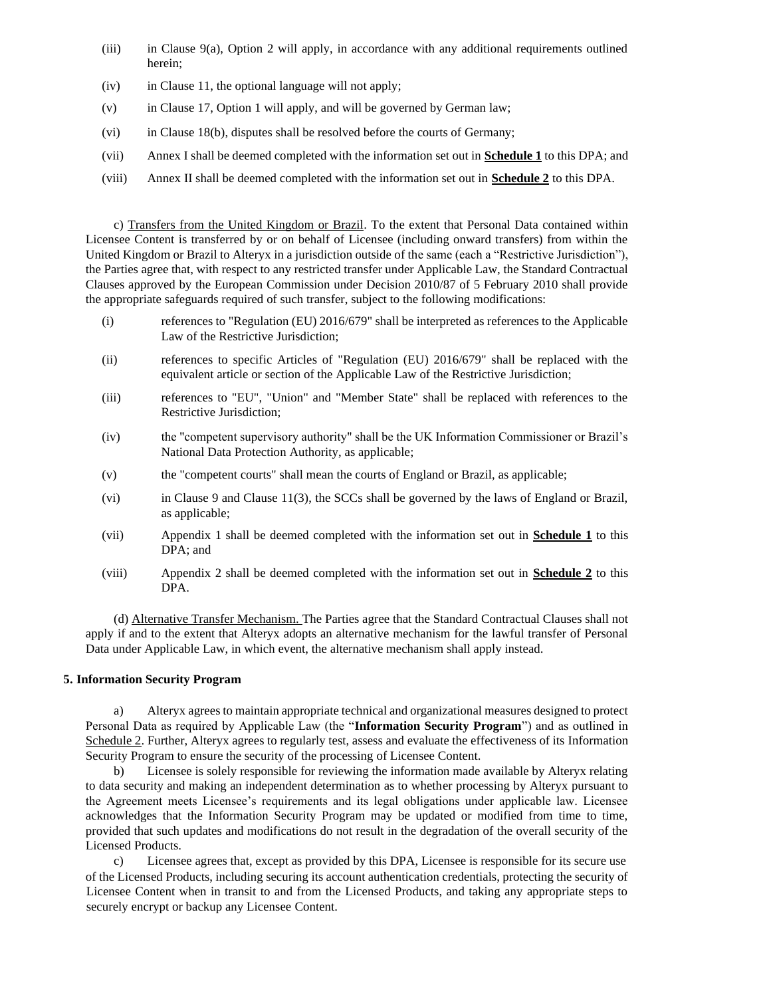- (iii) in Clause 9(a), Option 2 will apply, in accordance with any additional requirements outlined herein;
- (iv) in Clause 11, the optional language will not apply;
- (v) in Clause 17, Option 1 will apply, and will be governed by German law;
- (vi) in Clause 18(b), disputes shall be resolved before the courts of Germany;
- (vii) Annex I shall be deemed completed with the information set out in **Schedule 1** to this DPA; and
- (viii) Annex II shall be deemed completed with the information set out in **Schedule 2** to this DPA.

c) Transfers from the United Kingdom or Brazil. To the extent that Personal Data contained within Licensee Content is transferred by or on behalf of Licensee (including onward transfers) from within the United Kingdom or Brazil to Alteryx in a jurisdiction outside of the same (each a "Restrictive Jurisdiction"), the Parties agree that, with respect to any restricted transfer under Applicable Law, the Standard Contractual Clauses approved by the European Commission under Decision 2010/87 of 5 February 2010 shall provide the appropriate safeguards required of such transfer, subject to the following modifications:

- (i) references to "Regulation (EU) 2016/679" shall be interpreted as references to the Applicable Law of the Restrictive Jurisdiction;
- (ii) references to specific Articles of "Regulation (EU) 2016/679" shall be replaced with the equivalent article or section of the Applicable Law of the Restrictive Jurisdiction;
- (iii) references to "EU", "Union" and "Member State" shall be replaced with references to the Restrictive Jurisdiction;
- (iv) the "competent supervisory authority" shall be the UK Information Commissioner or Brazil's National Data Protection Authority, as applicable;
- (v) the "competent courts" shall mean the courts of England or Brazil, as applicable;
- (vi) in Clause 9 and Clause 11(3), the SCCs shall be governed by the laws of England or Brazil, as applicable;
- (vii) Appendix 1 shall be deemed completed with the information set out in **Schedule 1** to this DPA; and
- (viii) Appendix 2 shall be deemed completed with the information set out in **Schedule 2** to this DPA.

(d) Alternative Transfer Mechanism. The Parties agree that the Standard Contractual Clauses shall not apply if and to the extent that Alteryx adopts an alternative mechanism for the lawful transfer of Personal Data under Applicable Law, in which event, the alternative mechanism shall apply instead.

## **5. Information Security Program**

a) Alteryx agrees to maintain appropriate technical and organizational measures designed to protect Personal Data as required by Applicable Law (the "**Information Security Program**") and as outlined in Schedule 2. Further, Alteryx agrees to regularly test, assess and evaluate the effectiveness of its Information Security Program to ensure the security of the processing of Licensee Content.

b) Licensee is solely responsible for reviewing the information made available by Alteryx relating to data security and making an independent determination as to whether processing by Alteryx pursuant to the Agreement meets Licensee's requirements and its legal obligations under applicable law. Licensee acknowledges that the Information Security Program may be updated or modified from time to time, provided that such updates and modifications do not result in the degradation of the overall security of the Licensed Products.

c) Licensee agrees that, except as provided by this DPA, Licensee is responsible for its secure use of the Licensed Products, including securing its account authentication credentials, protecting the security of Licensee Content when in transit to and from the Licensed Products, and taking any appropriate steps to securely encrypt or backup any Licensee Content.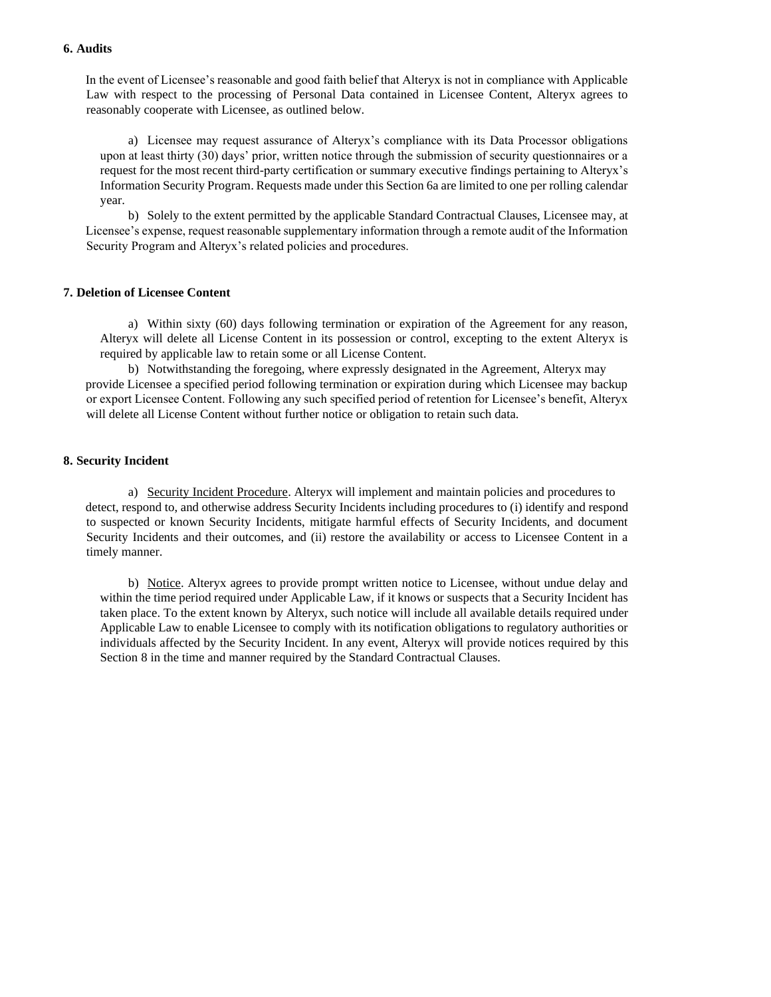### **6. Audits**

In the event of Licensee's reasonable and good faith belief that Alteryx is not in compliance with Applicable Law with respect to the processing of Personal Data contained in Licensee Content, Alteryx agrees to reasonably cooperate with Licensee, as outlined below.

a) Licensee may request assurance of Alteryx's compliance with its Data Processor obligations upon at least thirty (30) days' prior, written notice through the submission of security questionnaires or a request for the most recent third-party certification or summary executive findings pertaining to Alteryx's Information Security Program. Requests made under this Section 6a are limited to one per rolling calendar year.

b) Solely to the extent permitted by the applicable Standard Contractual Clauses, Licensee may, at Licensee's expense, request reasonable supplementary information through a remote audit of the Information Security Program and Alteryx's related policies and procedures.

#### **7. Deletion of Licensee Content**

a) Within sixty (60) days following termination or expiration of the Agreement for any reason, Alteryx will delete all License Content in its possession or control, excepting to the extent Alteryx is required by applicable law to retain some or all License Content.

b) Notwithstanding the foregoing, where expressly designated in the Agreement, Alteryx may provide Licensee a specified period following termination or expiration during which Licensee may backup or export Licensee Content. Following any such specified period of retention for Licensee's benefit, Alteryx will delete all License Content without further notice or obligation to retain such data.

#### **8. Security Incident**

a) Security Incident Procedure. Alteryx will implement and maintain policies and procedures to detect, respond to, and otherwise address Security Incidents including procedures to (i) identify and respond to suspected or known Security Incidents, mitigate harmful effects of Security Incidents, and document Security Incidents and their outcomes, and (ii) restore the availability or access to Licensee Content in a timely manner.

b) Notice. Alteryx agrees to provide prompt written notice to Licensee, without undue delay and within the time period required under Applicable Law, if it knows or suspects that a Security Incident has taken place. To the extent known by Alteryx, such notice will include all available details required under Applicable Law to enable Licensee to comply with its notification obligations to regulatory authorities or individuals affected by the Security Incident. In any event, Alteryx will provide notices required by this Section 8 in the time and manner required by the Standard Contractual Clauses.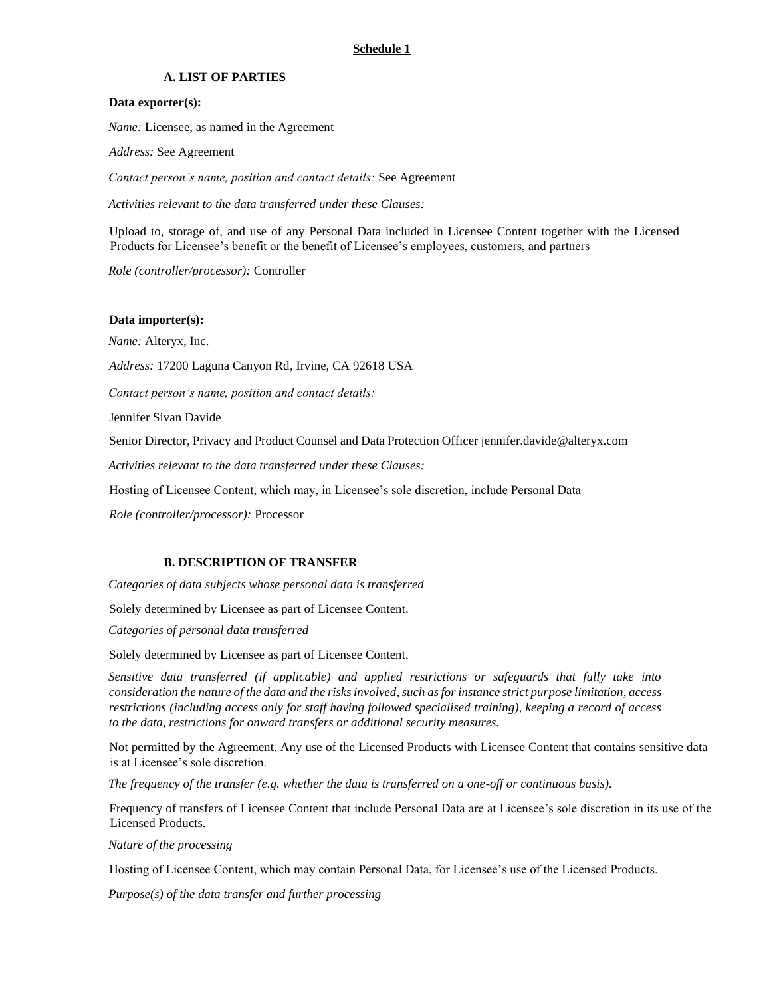### **Schedule 1**

### **A. LIST OF PARTIES**

#### **Data exporter(s):**

*Name:* Licensee, as named in the Agreement

*Address:* See Agreement

*Contact person's name, position and contact details:* See Agreement

*Activities relevant to the data transferred under these Clauses:*

Upload to, storage of, and use of any Personal Data included in Licensee Content together with the Licensed Products for Licensee's benefit or the benefit of Licensee's employees, customers, and partners

*Role (controller/processor):* Controller

#### **Data importer(s):**

 *Name:* Alteryx, Inc.

*Address:* 17200 Laguna Canyon Rd, Irvine, CA 92618 USA

*Contact person's name, position and contact details:* 

Jennifer Sivan Davide

Senior Director, Privacy and Product Counsel and Data Protection Officer jennifer.davide@alteryx.com

*Activities relevant to the data transferred under these Clauses:* 

Hosting of Licensee Content, which may, in Licensee's sole discretion, include Personal Data

*Role (controller/processor):* Processor

#### **B. DESCRIPTION OF TRANSFER**

*Categories of data subjects whose personal data is transferred* 

Solely determined by Licensee as part of Licensee Content.

*Categories of personal data transferred* 

Solely determined by Licensee as part of Licensee Content.

*Sensitive data transferred (if applicable) and applied restrictions or safeguards that fully take into consideration the nature of the data and the risks involved, such as for instance strict purpose limitation, access restrictions (including access only for staff having followed specialised training), keeping a record of access to the data, restrictions for onward transfers or additional security measures.* 

Not permitted by the Agreement. Any use of the Licensed Products with Licensee Content that contains sensitive data is at Licensee's sole discretion.

*The frequency of the transfer (e.g. whether the data is transferred on a one-off or continuous basis).* 

Frequency of transfers of Licensee Content that include Personal Data are at Licensee's sole discretion in its use of the Licensed Products.

*Nature of the processing* 

Hosting of Licensee Content, which may contain Personal Data, for Licensee's use of the Licensed Products.

*Purpose(s) of the data transfer and further processing*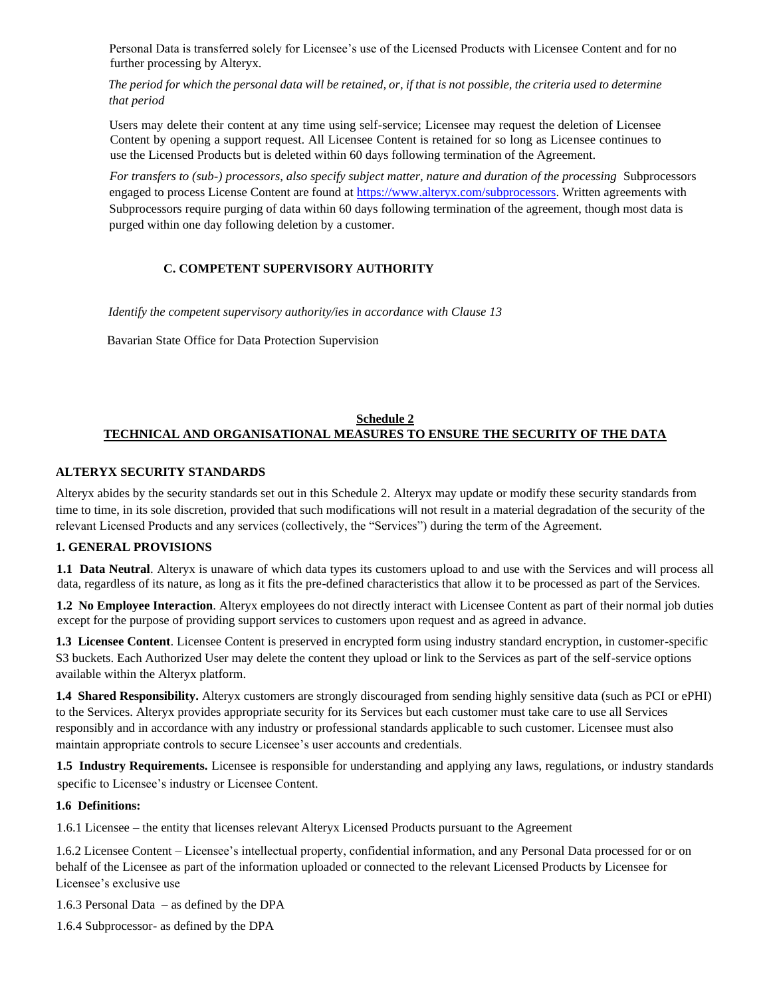Personal Data is transferred solely for Licensee's use of the Licensed Products with Licensee Content and for no further processing by Alteryx.

*The period for which the personal data will be retained, or, if that is not possible, the criteria used to determine that period* 

Users may delete their content at any time using self-service; Licensee may request the deletion of Licensee Content by opening a support request. All Licensee Content is retained for so long as Licensee continues to use the Licensed Products but is deleted within 60 days following termination of the Agreement.

*For transfers to (sub-) processors, also specify subject matter, nature and duration of the processing* Subprocessors engaged to process License Content are found at [https://www.alteryx.com/subprocessors.](https://www.alteryx.com/subprocessors) Written agreements with Subprocessors require purging of data within 60 days following termination of the agreement, though most data is purged within one day following deletion by a customer.

## **C. COMPETENT SUPERVISORY AUTHORITY**

*Identify the competent supervisory authority/ies in accordance with Clause 13* 

Bavarian State Office for Data Protection Supervision

## **Schedule 2 TECHNICAL AND ORGANISATIONAL MEASURES TO ENSURE THE SECURITY OF THE DATA**

### **ALTERYX SECURITY STANDARDS**

Alteryx abides by the security standards set out in this Schedule 2. Alteryx may update or modify these security standards from time to time, in its sole discretion, provided that such modifications will not result in a material degradation of the security of the relevant Licensed Products and any services (collectively, the "Services") during the term of the Agreement.

### **1. GENERAL PROVISIONS**

**1.1 Data Neutral**. Alteryx is unaware of which data types its customers upload to and use with the Services and will process all data, regardless of its nature, as long as it fits the pre-defined characteristics that allow it to be processed as part of the Services.

**1.2 No Employee Interaction**. Alteryx employees do not directly interact with Licensee Content as part of their normal job duties except for the purpose of providing support services to customers upon request and as agreed in advance.

**1.3 Licensee Content**. Licensee Content is preserved in encrypted form using industry standard encryption, in customer-specific S3 buckets. Each Authorized User may delete the content they upload or link to the Services as part of the self-service options available within the Alteryx platform.

**1.4 Shared Responsibility.** Alteryx customers are strongly discouraged from sending highly sensitive data (such as PCI or ePHI) to the Services. Alteryx provides appropriate security for its Services but each customer must take care to use all Services responsibly and in accordance with any industry or professional standards applicable to such customer. Licensee must also maintain appropriate controls to secure Licensee's user accounts and credentials.

**1.5 Industry Requirements.** Licensee is responsible for understanding and applying any laws, regulations, or industry standards specific to Licensee's industry or Licensee Content.

#### **1.6 Definitions:**

1.6.1 Licensee – the entity that licenses relevant Alteryx Licensed Products pursuant to the Agreement

1.6.2 Licensee Content – Licensee's intellectual property, confidential information, and any Personal Data processed for or on behalf of the Licensee as part of the information uploaded or connected to the relevant Licensed Products by Licensee for Licensee's exclusive use

1.6.3 Personal Data – as defined by the DPA

1.6.4 Subprocessor- as defined by the DPA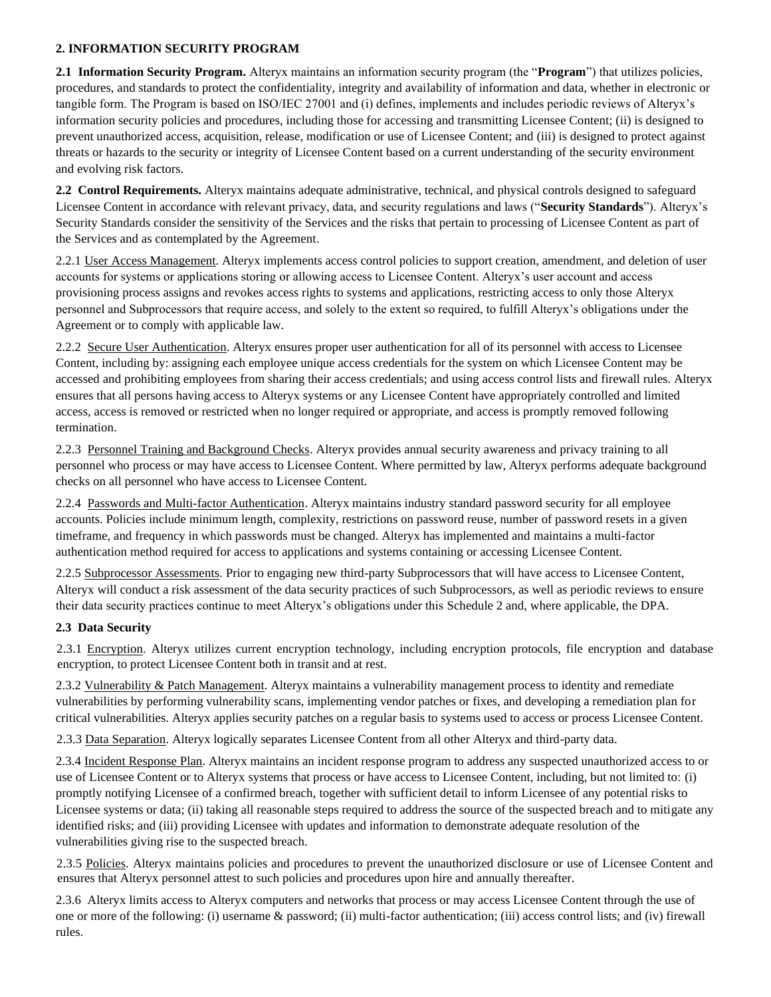## **2. INFORMATION SECURITY PROGRAM**

**2.1 Information Security Program.** Alteryx maintains an information security program (the "**Program**") that utilizes policies, procedures, and standards to protect the confidentiality, integrity and availability of information and data, whether in electronic or tangible form. The Program is based on ISO/IEC 27001 and (i) defines, implements and includes periodic reviews of Alteryx's information security policies and procedures, including those for accessing and transmitting Licensee Content; (ii) is designed to prevent unauthorized access, acquisition, release, modification or use of Licensee Content; and (iii) is designed to protect against threats or hazards to the security or integrity of Licensee Content based on a current understanding of the security environment and evolving risk factors.

**2.2 Control Requirements.** Alteryx maintains adequate administrative, technical, and physical controls designed to safeguard Licensee Content in accordance with relevant privacy, data, and security regulations and laws ("**Security Standards**"). Alteryx's Security Standards consider the sensitivity of the Services and the risks that pertain to processing of Licensee Content as part of the Services and as contemplated by the Agreement.

2.2.1 User Access Management. Alteryx implements access control policies to support creation, amendment, and deletion of user accounts for systems or applications storing or allowing access to Licensee Content. Alteryx's user account and access provisioning process assigns and revokes access rights to systems and applications, restricting access to only those Alteryx personnel and Subprocessors that require access, and solely to the extent so required, to fulfill Alteryx's obligations under the Agreement or to comply with applicable law.

2.2.2 Secure User Authentication. Alteryx ensures proper user authentication for all of its personnel with access to Licensee Content, including by: assigning each employee unique access credentials for the system on which Licensee Content may be accessed and prohibiting employees from sharing their access credentials; and using access control lists and firewall rules. Alteryx ensures that all persons having access to Alteryx systems or any Licensee Content have appropriately controlled and limited access, access is removed or restricted when no longer required or appropriate, and access is promptly removed following termination.

2.2.3 Personnel Training and Background Checks. Alteryx provides annual security awareness and privacy training to all personnel who process or may have access to Licensee Content. Where permitted by law, Alteryx performs adequate background checks on all personnel who have access to Licensee Content.

2.2.4 Passwords and Multi-factor Authentication. Alteryx maintains industry standard password security for all employee accounts. Policies include minimum length, complexity, restrictions on password reuse, number of password resets in a given timeframe, and frequency in which passwords must be changed. Alteryx has implemented and maintains a multi-factor authentication method required for access to applications and systems containing or accessing Licensee Content.

2.2.5 Subprocessor Assessments. Prior to engaging new third-party Subprocessors that will have access to Licensee Content, Alteryx will conduct a risk assessment of the data security practices of such Subprocessors, as well as periodic reviews to ensure their data security practices continue to meet Alteryx's obligations under this Schedule 2 and, where applicable, the DPA.

## **2.3 Data Security**

2.3.1 Encryption. Alteryx utilizes current encryption technology, including encryption protocols, file encryption and database encryption, to protect Licensee Content both in transit and at rest.

2.3.2 Vulnerability & Patch Management. Alteryx maintains a vulnerability management process to identity and remediate vulnerabilities by performing vulnerability scans, implementing vendor patches or fixes, and developing a remediation plan for critical vulnerabilities. Alteryx applies security patches on a regular basis to systems used to access or process Licensee Content.

2.3.3 Data Separation. Alteryx logically separates Licensee Content from all other Alteryx and third-party data.

2.3.4 Incident Response Plan. Alteryx maintains an incident response program to address any suspected unauthorized access to or use of Licensee Content or to Alteryx systems that process or have access to Licensee Content, including, but not limited to: (i) promptly notifying Licensee of a confirmed breach, together with sufficient detail to inform Licensee of any potential risks to Licensee systems or data; (ii) taking all reasonable steps required to address the source of the suspected breach and to mitigate any identified risks; and (iii) providing Licensee with updates and information to demonstrate adequate resolution of the vulnerabilities giving rise to the suspected breach.

2.3.5 Policies. Alteryx maintains policies and procedures to prevent the unauthorized disclosure or use of Licensee Content and ensures that Alteryx personnel attest to such policies and procedures upon hire and annually thereafter.

2.3.6Alteryx limits access to Alteryx computers and networks that process or may access Licensee Content through the use of one or more of the following: (i) username & password; (ii) multi-factor authentication; (iii) access control lists; and (iv) firewall rules.